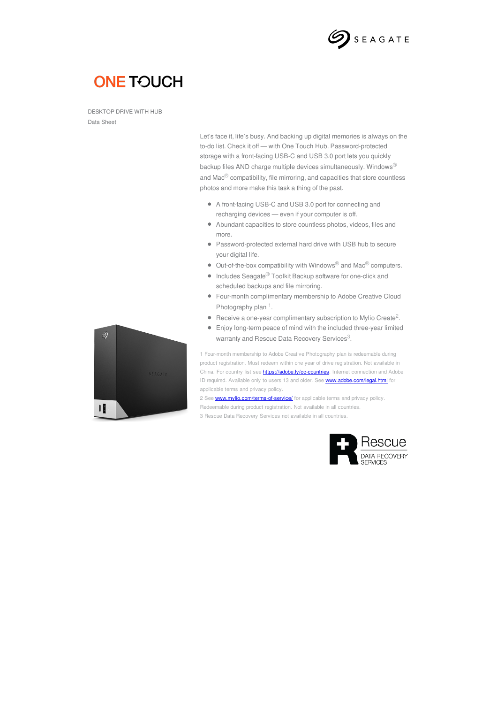

## **ONE TOUCH**

DESKTOP DRIVE WITH HUB Data Sheet

> Let's face it, life's busy. And backing up digital memories is always on the to-do list. Check it off — with One Touch Hub. Password-protected storage with a front-facing USB-C and USB 3.0 port lets you quickly backup files AND charge multiple devices simultaneously. Windows® and Mac® compatibility, file mirroring, and capacities that store countless photos and more make this task a thing of the past.

- A front-facing USB-C and USB 3.0 port for connecting and recharging devices — even if your computer is off.
- Abundant capacities to store countless photos, videos, files and more.
- Password-protected external hard drive with USB hub to secure your digital life.
- $\bullet$  Out-of-the-box compatibility with Windows<sup>®</sup> and Mac<sup>®</sup> computers.
- $\bullet$  Includes Seagate<sup>®</sup> Toolkit Backup software for one-click and scheduled backups and file mirroring.
- Four-month complimentary membership to Adobe Creative Cloud Photography plan<sup>1</sup>.
- Receive a one-year complimentary subscription to Mylio Create<sup>2</sup>.
- Enjoy long-term peace of mind with the included three-year limited warranty and Rescue Data Recovery Services<sup>3</sup>.

1 Four-month membership to Adobe Creative Photography plan is redeemable during product registration. Must redeem within one year of drive registration. Not available in China. For country list see **<https://adobe.ly/cc-countries>**. Internet connection and Adobe ID required. Available only to users 13 and older. See **<www.adobe.com/legal.html>** for applicable terms and privacy policy.

2 See **<www.mylio.com/terms-of-service/>** for applicable terms and privacy policy. Redeemable during product registration. Not available in all countries. 3 Rescue Data Recovery Services not available in all countries.